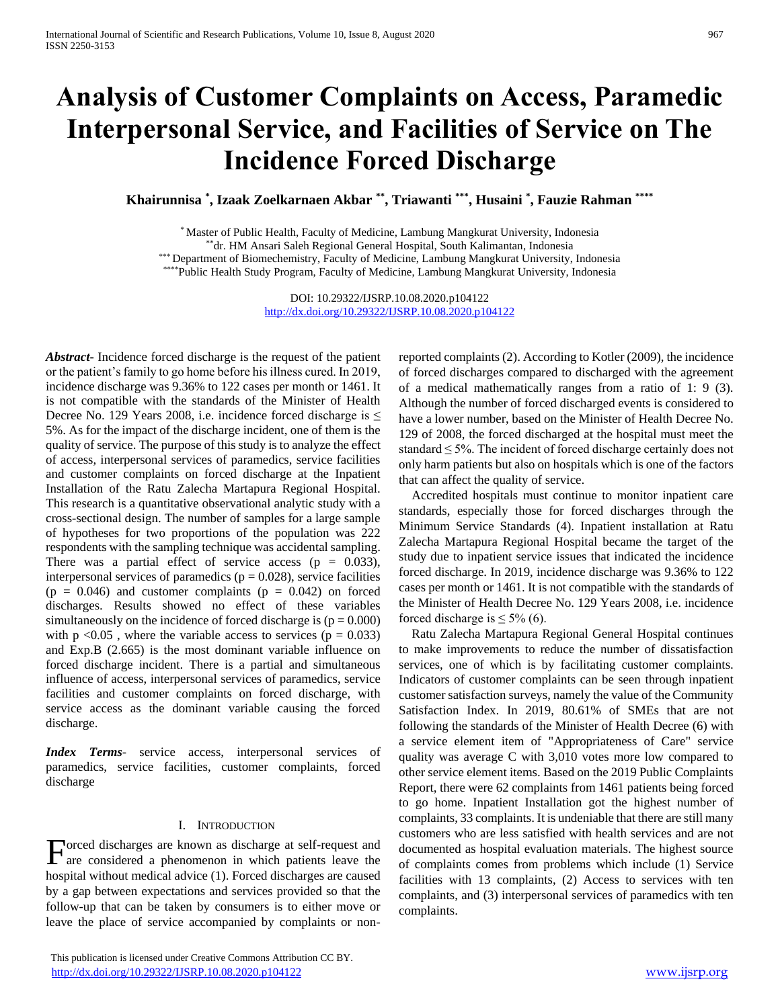# **Analysis of Customer Complaints on Access, Paramedic Interpersonal Service, and Facilities of Service on The Incidence Forced Discharge**

**Khairunnisa \* , Izaak Zoelkarnaen Akbar \*\* , Triawanti \*\*\* , Husaini \* , Fauzie Rahman \*\*\*\***

\* Master of Public Health, Faculty of Medicine, Lambung Mangkurat University, Indonesia \*\*dr. HM Ansari Saleh Regional General Hospital, South Kalimantan, Indonesia \*\*\* Department of Biomechemistry, Faculty of Medicine, Lambung Mangkurat University, Indonesia \*\*\*\*Public Health Study Program, Faculty of Medicine, Lambung Mangkurat University, Indonesia

> DOI: 10.29322/IJSRP.10.08.2020.p104122 <http://dx.doi.org/10.29322/IJSRP.10.08.2020.p104122>

*Abstract***-** Incidence forced discharge is the request of the patient or the patient's family to go home before his illness cured. In 2019, incidence discharge was 9.36% to 122 cases per month or 1461. It is not compatible with the standards of the Minister of Health Decree No. 129 Years 2008, i.e. incidence forced discharge is  $\leq$ 5%. As for the impact of the discharge incident, one of them is the quality of service. The purpose of this study is to analyze the effect of access, interpersonal services of paramedics, service facilities and customer complaints on forced discharge at the Inpatient Installation of the Ratu Zalecha Martapura Regional Hospital. This research is a quantitative observational analytic study with a cross-sectional design. The number of samples for a large sample of hypotheses for two proportions of the population was 222 respondents with the sampling technique was accidental sampling. There was a partial effect of service access ( $p = 0.033$ ), interpersonal services of paramedics ( $p = 0.028$ ), service facilities  $(p = 0.046)$  and customer complaints  $(p = 0.042)$  on forced discharges. Results showed no effect of these variables simultaneously on the incidence of forced discharge is  $(p = 0.000)$ with  $p < 0.05$ , where the variable access to services ( $p = 0.033$ ) and Exp.B (2.665) is the most dominant variable influence on forced discharge incident. There is a partial and simultaneous influence of access, interpersonal services of paramedics, service facilities and customer complaints on forced discharge, with service access as the dominant variable causing the forced discharge.

*Index Terms*- service access, interpersonal services of paramedics, service facilities, customer complaints, forced discharge

## I. INTRODUCTION

 $\Gamma$  orced discharges are known as discharge at self-request and are considered a phenomenon in which patients leave the are considered a phenomenon in which patients leave the hospital without medical advice (1). Forced discharges are caused by a gap between expectations and services provided so that the follow-up that can be taken by consumers is to either move or leave the place of service accompanied by complaints or non-

 This publication is licensed under Creative Commons Attribution CC BY. <http://dx.doi.org/10.29322/IJSRP.10.08.2020.p104122> [www.ijsrp.org](http://ijsrp.org/)

reported complaints (2). According to Kotler (2009), the incidence of forced discharges compared to discharged with the agreement of a medical mathematically ranges from a ratio of 1: 9 (3). Although the number of forced discharged events is considered to have a lower number, based on the Minister of Health Decree No. 129 of 2008, the forced discharged at the hospital must meet the standard  $\leq$  5%. The incident of forced discharge certainly does not only harm patients but also on hospitals which is one of the factors that can affect the quality of service.

Accredited hospitals must continue to monitor inpatient care standards, especially those for forced discharges through the Minimum Service Standards (4). Inpatient installation at Ratu Zalecha Martapura Regional Hospital became the target of the study due to inpatient service issues that indicated the incidence forced discharge. In 2019, incidence discharge was 9.36% to 122 cases per month or 1461. It is not compatible with the standards of the Minister of Health Decree No. 129 Years 2008, i.e. incidence forced discharge is  $\leq 5\%$  (6).

Ratu Zalecha Martapura Regional General Hospital continues to make improvements to reduce the number of dissatisfaction services, one of which is by facilitating customer complaints. Indicators of customer complaints can be seen through inpatient customer satisfaction surveys, namely the value of the Community Satisfaction Index. In 2019, 80.61% of SMEs that are not following the standards of the Minister of Health Decree (6) with a service element item of "Appropriateness of Care" service quality was average C with 3,010 votes more low compared to other service element items. Based on the 2019 Public Complaints Report, there were 62 complaints from 1461 patients being forced to go home. Inpatient Installation got the highest number of complaints, 33 complaints. It is undeniable that there are still many customers who are less satisfied with health services and are not documented as hospital evaluation materials. The highest source of complaints comes from problems which include (1) Service facilities with 13 complaints, (2) Access to services with ten complaints, and (3) interpersonal services of paramedics with ten complaints.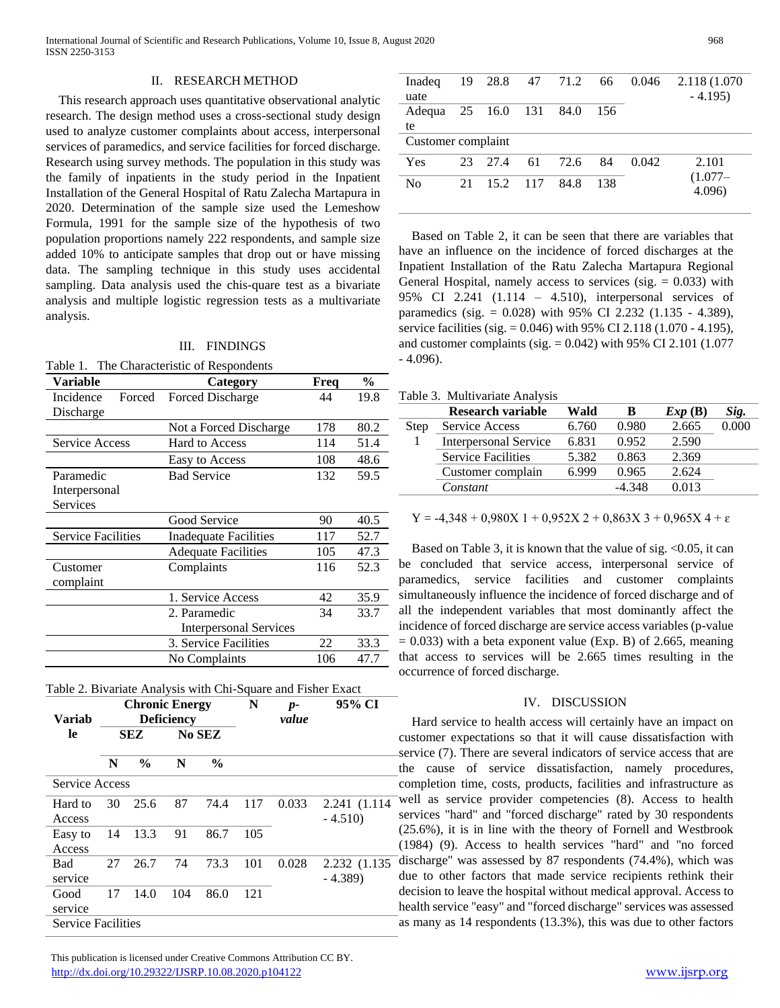# II. RESEARCH METHOD

This research approach uses quantitative observational analytic research. The design method uses a cross-sectional study design used to analyze customer complaints about access, interpersonal services of paramedics, and service facilities for forced discharge. Research using survey methods. The population in this study was the family of inpatients in the study period in the Inpatient Installation of the General Hospital of Ratu Zalecha Martapura in 2020. Determination of the sample size used the Lemeshow Formula, 1991 for the sample size of the hypothesis of two population proportions namely 222 respondents, and sample size added 10% to anticipate samples that drop out or have missing data. The sampling technique in this study uses accidental sampling. Data analysis used the chis-quare test as a bivariate analysis and multiple logistic regression tests as a multivariate analysis.

## III. FINDINGS

|  | Table 1. The Characteristic of Respondents |  |  |
|--|--------------------------------------------|--|--|
|--|--------------------------------------------|--|--|

| Variable                  | Category                      | Freq | $\frac{0}{0}$ |  |
|---------------------------|-------------------------------|------|---------------|--|
| Incidence<br>Forced       | Forced Discharge              | 44   | 19.8          |  |
| Discharge                 |                               |      |               |  |
|                           | Not a Forced Discharge        | 178  | 80.2          |  |
| <b>Service Access</b>     | <b>Hard to Access</b>         | 114  | 51.4          |  |
|                           | Easy to Access                | 108  | 48.6          |  |
| Paramedic                 | <b>Bad Service</b>            | 132  | 59.5          |  |
| Interpersonal             |                               |      |               |  |
| Services                  |                               |      |               |  |
|                           | Good Service                  | 90   | 40.5          |  |
| <b>Service Facilities</b> | Inadequate Facilities         | 117  | 52.7          |  |
|                           | <b>Adequate Facilities</b>    | 105  | 47.3          |  |
| Customer                  | Complaints                    | 116  | 52.3          |  |
| complaint                 |                               |      |               |  |
|                           | 1. Service Access             | 42   | 35.9          |  |
|                           | 2. Paramedic                  | 34   | 33.7          |  |
|                           | <b>Interpersonal Services</b> |      |               |  |
|                           | 3. Service Facilities         | 22   | 33.3          |  |
|                           | No Complaints                 | 106  | 47.7          |  |



| Variab                    | <b>Chronic Energy</b><br><b>Deficiency</b> |               |        | N             | $p-$<br>value | 95% CI |                           |
|---------------------------|--------------------------------------------|---------------|--------|---------------|---------------|--------|---------------------------|
| le                        | <b>SEZ</b>                                 |               | No SEZ |               |               |        |                           |
|                           | N                                          | $\frac{0}{0}$ | N      | $\frac{0}{0}$ |               |        |                           |
|                           | <b>Service Access</b>                      |               |        |               |               |        |                           |
| Hard to<br>Access         | 30                                         | 25.6          | 87     | 74.4          | 117           | 0.033  | 2.241 (1.114)<br>$-4.510$ |
| Easy to<br>Access         | 14                                         | 13.3          | 91     | 86.7          | 105           |        |                           |
| <b>Bad</b><br>service     | 27                                         | 26.7          | 74     | 73.3          | 101           | 0.028  | 2.232 (1.135)<br>$-4.389$ |
| Good<br>service           | 17                                         | 14.0          | 104    | 86.0          | 121           |        |                           |
| <b>Service Facilities</b> |                                            |               |        |               |               |        |                           |

Inadeq uate 19 28.8 47 71.2 66 0.046 2.118 (1.070 - 4.195) Adequa te 25 16.0 131 84.0 156 Customer complaint Yes 23 27.4 61 72.6 84 0.042 2.101  $(1.077 -$ No 21 15.2 117 84.8 138 (1.077-<br>4.096)

Based on Table 2, it can be seen that there are variables that have an influence on the incidence of forced discharges at the Inpatient Installation of the Ratu Zalecha Martapura Regional General Hospital, namely access to services (sig.  $= 0.033$ ) with 95% CI 2.241 (1.114 – 4.510), interpersonal services of paramedics (sig. = 0.028) with 95% CI 2.232 (1.135 - 4.389), service facilities (sig. = 0.046) with 95% CI 2.118 (1.070 - 4.195), and customer complaints (sig.  $= 0.042$ ) with 95% CI 2.101 (1.077 - 4.096).

#### Table 3. Multivariate Analysis

|             | Research variable            | Wald  | B        | Exp(B) | Sig.  |
|-------------|------------------------------|-------|----------|--------|-------|
| <b>Step</b> | Service Access               | 6.760 | 0.980    | 2.665  | 0.000 |
|             | <b>Interpersonal Service</b> | 6.831 | 0.952    | 2.590  |       |
|             | <b>Service Facilities</b>    | 5.382 | 0.863    | 2.369  |       |
|             | Customer complain            | 6.999 | 0.965    | 2.624  |       |
|             | Constant                     |       | $-4.348$ | 0.013  |       |

 $Y = -4,348 + 0,980X 1 + 0,952X 2 + 0,863X 3 + 0,965X 4 + \varepsilon$ 

Based on Table 3, it is known that the value of sig.  $\leq 0.05$ , it can be concluded that service access, interpersonal service of paramedics, service facilities and customer complaints simultaneously influence the incidence of forced discharge and of all the independent variables that most dominantly affect the incidence of forced discharge are service access variables (p-value  $= 0.033$ ) with a beta exponent value (Exp. B) of 2.665, meaning that access to services will be 2.665 times resulting in the occurrence of forced discharge.

## IV. DISCUSSION

Hard service to health access will certainly have an impact on customer expectations so that it will cause dissatisfaction with service (7). There are several indicators of service access that are the cause of service dissatisfaction, namely procedures, completion time, costs, products, facilities and infrastructure as well as service provider competencies (8). Access to health services "hard" and "forced discharge" rated by 30 respondents (25.6%), it is in line with the theory of Fornell and Westbrook (1984) (9). Access to health services "hard" and "no forced discharge" was assessed by 87 respondents (74.4%), which was due to other factors that made service recipients rethink their decision to leave the hospital without medical approval. Access to health service "easy" and "forced discharge" services was assessed as many as 14 respondents (13.3%), this was due to other factors

 This publication is licensed under Creative Commons Attribution CC BY. <http://dx.doi.org/10.29322/IJSRP.10.08.2020.p104122> [www.ijsrp.org](http://ijsrp.org/)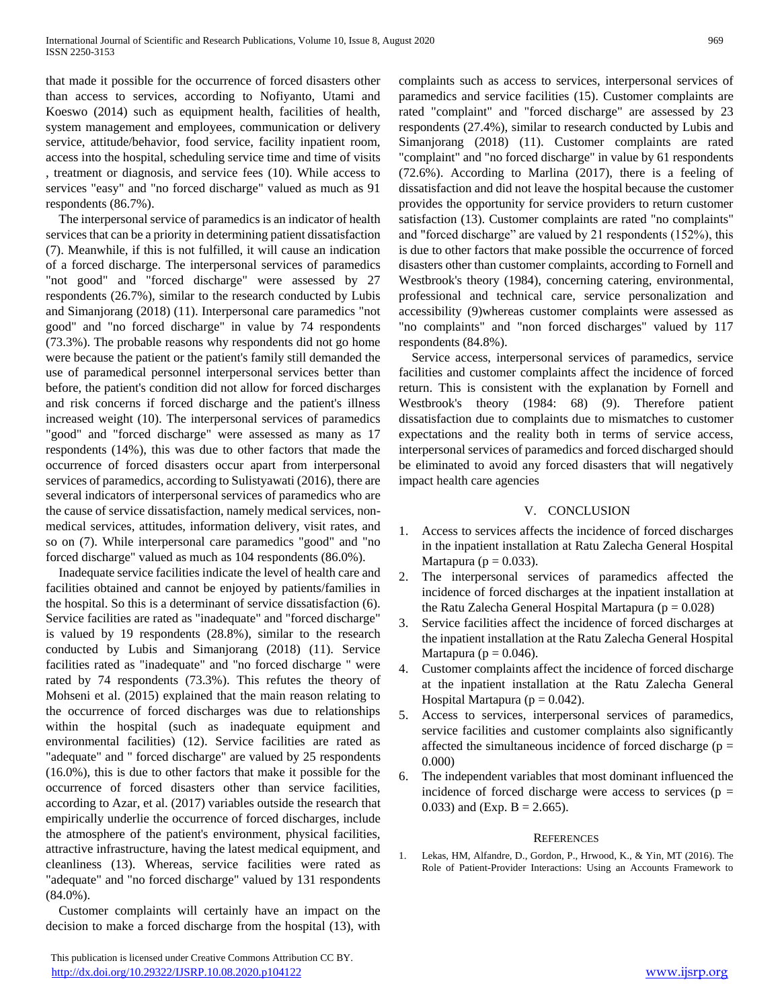that made it possible for the occurrence of forced disasters other than access to services, according to Nofiyanto, Utami and Koeswo (2014) such as equipment health, facilities of health, system management and employees, communication or delivery service, attitude/behavior, food service, facility inpatient room, access into the hospital, scheduling service time and time of visits , treatment or diagnosis, and service fees (10). While access to services "easy" and "no forced discharge" valued as much as 91 respondents (86.7%).

The interpersonal service of paramedics is an indicator of health services that can be a priority in determining patient dissatisfaction (7). Meanwhile, if this is not fulfilled, it will cause an indication of a forced discharge. The interpersonal services of paramedics "not good" and "forced discharge" were assessed by 27 respondents (26.7%), similar to the research conducted by Lubis and Simanjorang (2018) (11). Interpersonal care paramedics "not good" and "no forced discharge" in value by 74 respondents (73.3%). The probable reasons why respondents did not go home were because the patient or the patient's family still demanded the use of paramedical personnel interpersonal services better than before, the patient's condition did not allow for forced discharges and risk concerns if forced discharge and the patient's illness increased weight (10). The interpersonal services of paramedics "good" and "forced discharge" were assessed as many as 17 respondents (14%), this was due to other factors that made the occurrence of forced disasters occur apart from interpersonal services of paramedics, according to Sulistyawati (2016), there are several indicators of interpersonal services of paramedics who are the cause of service dissatisfaction, namely medical services, nonmedical services, attitudes, information delivery, visit rates, and so on (7). While interpersonal care paramedics "good" and "no forced discharge" valued as much as 104 respondents (86.0%).

Inadequate service facilities indicate the level of health care and facilities obtained and cannot be enjoyed by patients/families in the hospital. So this is a determinant of service dissatisfaction (6). Service facilities are rated as "inadequate" and "forced discharge" is valued by 19 respondents (28.8%), similar to the research conducted by Lubis and Simanjorang (2018) (11). Service facilities rated as "inadequate" and "no forced discharge " were rated by 74 respondents (73.3%). This refutes the theory of Mohseni et al. (2015) explained that the main reason relating to the occurrence of forced discharges was due to relationships within the hospital (such as inadequate equipment and environmental facilities) (12). Service facilities are rated as "adequate" and " forced discharge" are valued by 25 respondents (16.0%), this is due to other factors that make it possible for the occurrence of forced disasters other than service facilities, according to Azar, et al. (2017) variables outside the research that empirically underlie the occurrence of forced discharges, include the atmosphere of the patient's environment, physical facilities, attractive infrastructure, having the latest medical equipment, and cleanliness (13). Whereas, service facilities were rated as "adequate" and "no forced discharge" valued by 131 respondents  $(84.0\%)$ .

Customer complaints will certainly have an impact on the decision to make a forced discharge from the hospital (13), with

complaints such as access to services, interpersonal services of paramedics and service facilities (15). Customer complaints are rated "complaint" and "forced discharge" are assessed by 23 respondents (27.4%), similar to research conducted by Lubis and Simanjorang (2018) (11). Customer complaints are rated "complaint" and "no forced discharge" in value by 61 respondents (72.6%). According to Marlina (2017), there is a feeling of dissatisfaction and did not leave the hospital because the customer provides the opportunity for service providers to return customer satisfaction (13). Customer complaints are rated "no complaints" and "forced discharge" are valued by 21 respondents (152%), this is due to other factors that make possible the occurrence of forced disasters other than customer complaints, according to Fornell and Westbrook's theory (1984), concerning catering, environmental, professional and technical care, service personalization and accessibility (9)whereas customer complaints were assessed as "no complaints" and "non forced discharges" valued by 117 respondents (84.8%).

Service access, interpersonal services of paramedics, service facilities and customer complaints affect the incidence of forced return. This is consistent with the explanation by Fornell and Westbrook's theory (1984: 68) (9). Therefore patient dissatisfaction due to complaints due to mismatches to customer expectations and the reality both in terms of service access, interpersonal services of paramedics and forced discharged should be eliminated to avoid any forced disasters that will negatively impact health care agencies

# V. CONCLUSION

- 1. Access to services affects the incidence of forced discharges in the inpatient installation at Ratu Zalecha General Hospital Martapura ( $p = 0.033$ ).
- 2. The interpersonal services of paramedics affected the incidence of forced discharges at the inpatient installation at the Ratu Zalecha General Hospital Martapura ( $p = 0.028$ )
- 3. Service facilities affect the incidence of forced discharges at the inpatient installation at the Ratu Zalecha General Hospital Martapura ( $p = 0.046$ ).
- 4. Customer complaints affect the incidence of forced discharge at the inpatient installation at the Ratu Zalecha General Hospital Martapura ( $p = 0.042$ ).
- 5. Access to services, interpersonal services of paramedics, service facilities and customer complaints also significantly affected the simultaneous incidence of forced discharge ( $p =$ 0.000)
- 6. The independent variables that most dominant influenced the incidence of forced discharge were access to services ( $p =$ 0.033) and (Exp. B = 2.665).

# **REFERENCES**

1. Lekas, HM, Alfandre, D., Gordon, P., Hrwood, K., & Yin, MT (2016). The Role of Patient-Provider Interactions: Using an Accounts Framework to